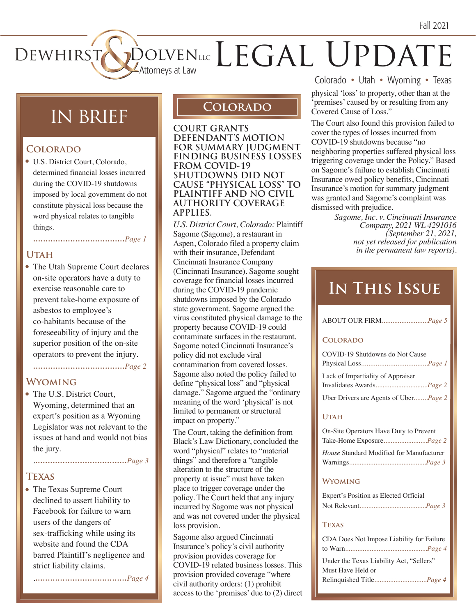# DEWHIRST DOLVENLLC  $\mathrm{DOLVEN}_{\text{\tiny{ALC}}}\text{LEC}$   $\mathrm{EGAL}$   $\mathrm{UPDATE}$

# in brief **Colorado**

### **Colorado**

• U.S. District Court, Colorado, determined financial losses incurred during the COVID-19 shutdowns imposed by local government do not constitute physical loss because the word physical relates to tangible things.

## **.....................................***Page 1*

### **Utah**

• The Utah Supreme Court declares on-site operators have a duty to exercise reasonable care to prevent take-home exposure of asbestos to employee's co-habitants because of the foreseeability of injury and the superior position of the on-site operators to prevent the injury.

**.....................................***Page 2*

### **Wyoming**

• The U.S. District Court, Wyoming, determined that an expert's position as a Wyoming Legislator was not relevant to the issues at hand and would not bias the jury.

.**.....................................***Page 3*

### **Texas**

• The Texas Supreme Court declined to assert liability to Facebook for failure to warn users of the dangers of sex-trafficking while using its website and found the CDA barred Plaintiff's negligence and strict liability claims.

.**.....................................***Page 4*

**COURT GRANTS DEFENDANT'S MOTION FOR SUMMARY JUDGMENT FINDING BUSINESS LOSSES FROM COVID-19 SHUTDOWNS DID NOT CAUSE "PHYSICAL LOSS" TO PLAINTIFF AND NO CIVIL AUTHORITY COVERAGE APPLIES.**

*U.S. District Court, Colorado:* Plaintiff Sagome (Sagome), a restaurant in Aspen, Colorado filed a property claim with their insurance, Defendant Cincinnati Insurance Company (Cincinnati Insurance). Sagome sought coverage for financial losses incurred during the COVID-19 pandemic shutdowns imposed by the Colorado state government. Sagome argued the virus constituted physical damage to the property because COVID-19 could contaminate surfaces in the restaurant. Sagome noted Cincinnati Insurance's policy did not exclude viral contamination from covered losses. Sagome also noted the policy failed to define "physical loss" and "physical damage." Sagome argued the "ordinary meaning of the word 'physical' is not limited to permanent or structural impact on property."

The Court, taking the definition from Black's Law Dictionary, concluded the word "physical" relates to "material things" and therefore a "tangible alteration to the structure of the property at issue" must have taken place to trigger coverage under the policy. The Court held that any injury incurred by Sagome was not physical and was not covered under the physical loss provision.

Sagome also argued Cincinnati Insurance's policy's civil authority provision provides coverage for COVID-19 related business losses. This provision provided coverage "where civil authority orders: (1) prohibit access to the 'premises' due to (2) direct Colorado • Utah • Wyoming • Texas

physical 'loss' to property, other than at the 'premises' caused by or resulting from any Covered Cause of Loss."

The Court also found this provision failed to cover the types of losses incurred from COVID-19 shutdowns because "no neighboring properties suffered physical loss triggering coverage under the Policy." Based on Sagome's failure to establish Cincinnati Insurance owed policy benefits, Cincinnati Insurance's motion for summary judgment was granted and Sagome's complaint was dismissed with prejudice.

> *Sagome, Inc. v. Cincinnati Insurance Company, 2021 WL 4291016 (September 21, 2021, not yet released for publication in the permanent law reports).*

# **In This Issue**

| ABOUT OUR FIRM <i>Page 5</i> |  |
|------------------------------|--|
|                              |  |

### **Colorado**

| COVID-19 Shutdowns do Not Cause               |
|-----------------------------------------------|
|                                               |
| Lack of Impartiality of Appraiser             |
|                                               |
| Uber Drivers are Agents of Uber <i>Page 2</i> |

### **Utah**

| On-Site Operators Have Duty to Prevent   |  |
|------------------------------------------|--|
| Take-Home Exposure <i>Page 2</i>         |  |
| House Standard Modified for Manufacturer |  |
|                                          |  |

### **Wyoming**

| Expert's Position as Elected Official |  |
|---------------------------------------|--|
|                                       |  |

### **Texas**

| CDA Does Not Impose Liability for Failure |  |
|-------------------------------------------|--|
|                                           |  |
| Under the Texas Liability Act, "Sellers"  |  |
| Must Have Held or                         |  |
|                                           |  |
|                                           |  |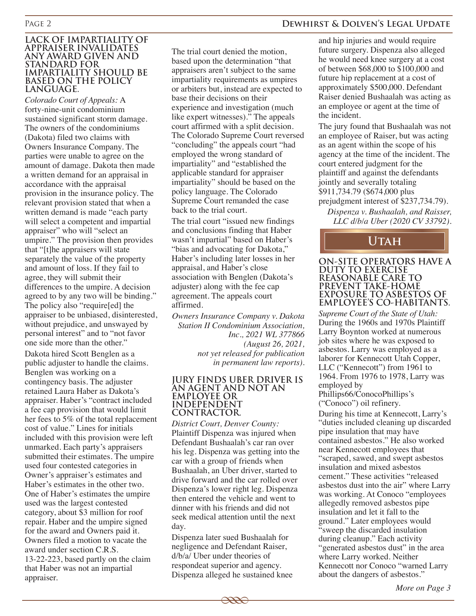### Page 2 **Dewhirst & Dolven's Legal Update**

#### **LACK OF IMPARTIALITY OF APPRAISER INVALIDATES ANY AWARD GIVEN AND STANDARD FOR IMPARTIALITY SHOULD BE BASED ON THE POLICY LANGUAGE.**

*Colorado Court of Appeals:* A forty-nine-unit condominium sustained significant storm damage. The owners of the condominiums (Dakota) filed two claims with Owners Insurance Company. The parties were unable to agree on the amount of damage. Dakota then made a written demand for an appraisal in accordance with the appraisal provision in the insurance policy. The relevant provision stated that when a written demand is made "each party will select a competent and impartial appraiser" who will "select an umpire." The provision then provides that "[t]he appraisers will state separately the value of the property and amount of loss. If they fail to agree, they will submit their differences to the umpire. A decision agreed to by any two will be binding." The policy also "require[ed] the appraiser to be unbiased, disinterested, without prejudice, and unswayed by personal interest" and to "not favor one side more than the other."

Dakota hired Scott Benglen as a public adjuster to handle the claims. Benglen was working on a contingency basis. The adjuster retained Laura Haber as Dakota's appraiser. Haber's "contract included a fee cap provision that would limit her fees to 5% of the total replacement cost of value." Lines for initials included with this provision were left unmarked. Each party's appraisers submitted their estimates. The umpire used four contested categories in Owner's appraiser's estimates and Haber's estimates in the other two. One of Haber's estimates the umpire used was the largest contested category, about \$3 million for roof repair. Haber and the umpire signed for the award and Owners paid it. Owners filed a motion to vacate the award under section C.R.S. 13-22-223, based partly on the claim that Haber was not an impartial appraiser.

The trial court denied the motion, based upon the determination "that appraisers aren't subject to the same impartiality requirements as umpires or arbiters but, instead are expected to base their decisions on their experience and investigation (much like expert witnesses)." The appeals court affirmed with a split decision. The Colorado Supreme Court reversed "concluding" the appeals court "had employed the wrong standard of impartiality" and "established the applicable standard for appraiser impartiality" should be based on the policy language. The Colorado Supreme Court remanded the case back to the trial court.

The trial court "issued new findings and conclusions finding that Haber wasn't impartial" based on Haber's "bias and advocating for Dakota," Haber's including later losses in her appraisal, and Haber's close association with Benglen (Dakota's adjuster) along with the fee cap agreement. The appeals court affirmed.

*Owners Insurance Company v. Dakota Station II Condominium Association, Inc., 2021 WL 377866 (August 26, 2021, not yet released for publication in permanent law reports).*

#### **JURY FINDS UBER DRIVER IS AN AGENT AND NOT AN EMPLOYEE OR INDEPENDENT CONTRACTOR.**

*District Court, Denver County:*  Plaintiff Dispenza was injured when Defendant Bushaalah's car ran over his leg. Dispenza was getting into the car with a group of friends when Bushaalah, an Uber driver, started to drive forward and the car rolled over Dispenza's lower right leg. Dispenza then entered the vehicle and went to dinner with his friends and did not seek medical attention until the next day.

Dispenza later sued Bushaalah for negligence and Defendant Raiser, d/b/a/ Uber under theories of respondeat superior and agency. Dispenza alleged he sustained knee

and hip injuries and would require future surgery. Dispenza also alleged he would need knee surgery at a cost of between \$68,000 to \$100,000 and future hip replacement at a cost of approximately \$500,000. Defendant Raiser denied Bushaalah was acting as an employee or agent at the time of the incident.

The jury found that Bushaalah was not an employee of Raiser, but was acting as an agent within the scope of his agency at the time of the incident. The court entered judgment for the plaintiff and against the defendants jointly and severally totaling \$911,734.79 (\$674,000 plus prejudgment interest of \$237,734.79).

*Dispenza v. Bushaalah, and Raisser, LLC d/b/a Uber (2020 CV 33792).*

### **Utah**

#### **ON-SITE OPERATORS HAVE A DUTY TO EXERCISE REASONABLE CARE TO PREVENT TAKE-HOME EXPOSURE TO ASBESTOS OF EMPLOYEE'S CO-HABITANTS.**

*Supreme Court of the State of Utah:*  During the 1960s and 1970s Plaintiff Larry Boynton worked at numerous job sites where he was exposed to asbestos. Larry was employed as a laborer for Kennecott Utah Copper, LLC ("Kennecott") from 1961 to 1964. From 1976 to 1978, Larry was employed by Phillips66/ConocoPhillips's

("Conoco") oil refinery.

During his time at Kennecott, Larry's "duties included cleaning up discarded pipe insulation that may have contained asbestos." He also worked near Kennecott employees that "scraped, sawed, and swept asbestos insulation and mixed asbestos cement." These activities "released asbestos dust into the air" where Larry was working. At Conoco "employees allegedly removed asbestos pipe insulation and let it fall to the ground." Later employees would "sweep the discarded insulation during cleanup." Each activity "generated asbestos dust" in the area where Larry worked. Neither Kennecott nor Conoco "warned Larry about the dangers of asbestos."

 $\overline{\phantom{a}}$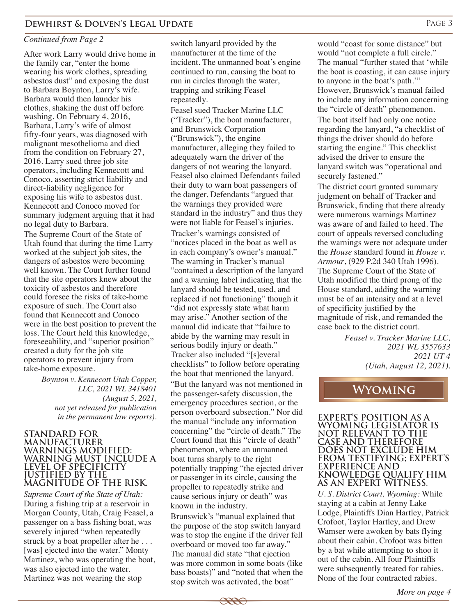### *Continued from Page 2*

After work Larry would drive home in the family car, "enter the home wearing his work clothes, spreading asbestos dust" and exposing the dust to Barbara Boynton, Larry's wife. Barbara would then launder his clothes, shaking the dust off before washing. On February 4, 2016, Barbara, Larry's wife of almost fifty-four years, was diagnosed with malignant mesothelioma and died from the condition on February 27, 2016. Larry sued three job site operators, including Kennecott and Conoco, asserting strict liability and direct-liability negligence for exposing his wife to asbestos dust. Kennecott and Conoco moved for summary judgment arguing that it had no legal duty to Barbara.

The Supreme Court of the State of Utah found that during the time Larry worked at the subject job sites, the dangers of asbestos were becoming well known. The Court further found that the site operators knew about the toxicity of asbestos and therefore could foresee the risks of take-home exposure of such. The Court also found that Kennecott and Conoco were in the best position to prevent the loss. The Court held this knowledge, foreseeability, and "superior position" created a duty for the job site operators to prevent injury from take-home exposure.

> *Boynton v. Kennecott Utah Copper, LLC, 2021 WL 3418401 (August 5, 2021, not yet released for publication in the permanent law reports).*

#### **STANDARD FOR MANUFACTURER WARNINGS MODIFIED: WARNING MUST INCLUDE A LEVEL OF SPECIFICITY JUSTIFIED BY THE MAGNITUDE OF THE RISK.**

*Supreme Court of the State of Utah:*  During a fishing trip at a reservoir in Morgan County, Utah, Craig Feasel, a passenger on a bass fishing boat, was severely injured "when repeatedly struck by a boat propeller after he . . . [was] ejected into the water." Monty Martinez, who was operating the boat, was also ejected into the water. Martinez was not wearing the stop

switch lanyard provided by the manufacturer at the time of the incident. The unmanned boat's engine continued to run, causing the boat to run in circles through the water, trapping and striking Feasel repeatedly.

Feasel sued Tracker Marine LLC ("Tracker"), the boat manufacturer, and Brunswick Corporation ("Brunswick"), the engine manufacturer, alleging they failed to adequately warn the driver of the dangers of not wearing the lanyard. Feasel also claimed Defendants failed their duty to warn boat passengers of the danger. Defendants "argued that the warnings they provided were standard in the industry" and thus they were not liable for Feasel's injuries. Tracker's warnings consisted of "notices placed in the boat as well as in each company's owner's manual." The warning in Tracker's manual "contained a description of the lanyard and a warning label indicating that the lanyard should be tested, used, and replaced if not functioning" though it "did not expressly state what harm may arise." Another section of the manual did indicate that "failure to abide by the warning may result in serious bodily injury or death." Tracker also included "[s]everal checklists" to follow before operating the boat that mentioned the lanyard. "But the lanyard was not mentioned in the passenger-safety discussion, the emergency procedures section, or the person overboard subsection." Nor did the manual "include any information concerning" the "circle of death." The Court found that this "circle of death" phenomenon, where an unmanned boat turns sharply to the right potentially trapping "the ejected driver or passenger in its circle, causing the propeller to repeatedly strike and cause serious injury or death" was known in the industry.

Brunswick's "manual explained that the purpose of the stop switch lanyard was to stop the engine if the driver fell overboard or moved too far away." The manual did state "that ejection was more common in some boats (like bass boasts)" and "noted that when the stop switch was activated, the boat"

would "coast for some distance" but would "not complete a full circle." The manual "further stated that 'while the boat is coasting, it can cause injury to anyone in the boat's path.'" However, Brunswick's manual failed to include any information concerning the "circle of death" phenomenon. The boat itself had only one notice regarding the lanyard, "a checklist of things the driver should do before starting the engine." This checklist advised the driver to ensure the lanyard switch was "operational and securely fastened."

The district court granted summary judgment on behalf of Tracker and Brunswick, finding that there already were numerous warnings Martinez was aware of and failed to heed. The court of appeals reversed concluding the warnings were not adequate under the *House* standard found in *House v. Armour*, (929 P.2d 340 Utah 1996). The Supreme Court of the State of Utah modified the third prong of the House standard, adding the warning must be of an intensity and at a level of specificity justified by the magnitude of risk, and remanded the case back to the district court.

> *Feasel v. Tracker Marine LLC, 2021 WL 3557633 2021 UT 4 (Utah, August 12, 2021).*

## **Wyoming**

**EXPERT'S POSITION AS A WYOMING LEGISLATOR IS NOT RELEVANT TO THE CASE AND THEREFORE DOES NOT EXCLUDE HIM FROM TESTIFYING; EXPERT'S EXPERIENCE AND KNOWLEDGE QUALIFY HIM AS AN EXPERT WITNESS.**

*U. S. District Court, Wyoming:* While staying at a cabin at Jenny Lake Lodge, Plaintiffs Dian Hartley, Patrick Crofoot, Taylor Hartley, and Drew Wamser were awoken by bats flying about their cabin. Crofoot was bitten by a bat while attempting to shoo it out of the cabin. All four Plaintiffs were subsequently treated for rabies. None of the four contracted rabies.



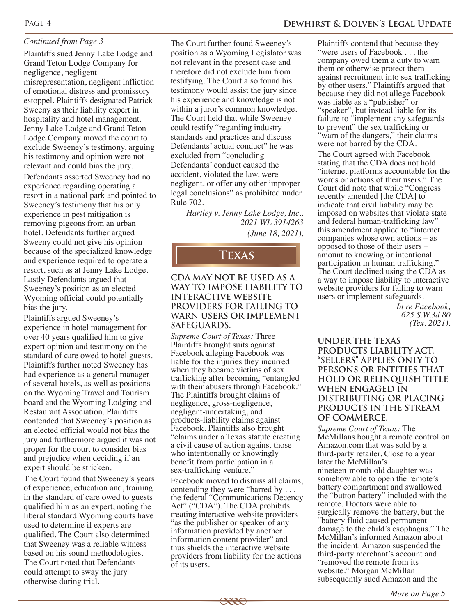### *Continued from Page 3*

Plaintiffs sued Jenny Lake Lodge and Grand Teton Lodge Company for negligence, negligent misrepresentation, negligent infliction of emotional distress and promissory estoppel. Plaintiffs designated Patrick Sweeny as their liability expert in hospitality and hotel management. Jenny Lake Lodge and Grand Teton Lodge Company moved the court to exclude Sweeney's testimony, arguing his testimony and opinion were not relevant and could bias the jury.

Defendants asserted Sweeney had no experience regarding operating a resort in a national park and pointed to Sweeney's testimony that his only experience in pest mitigation is removing pigeons from an urban hotel. Defendants further argued Sweeny could not give his opinion because of the specialized knowledge and experience required to operate a resort, such as at Jenny Lake Lodge. Lastly Defendants argued that Sweeney's position as an elected Wyoming official could potentially bias the jury.

Plaintiffs argued Sweeney's experience in hotel management for over 40 years qualified him to give expert opinion and testimony on the standard of care owed to hotel guests. Plaintiffs further noted Sweeney has had experience as a general manager of several hotels, as well as positions on the Wyoming Travel and Tourism board and the Wyoming Lodging and Restaurant Association. Plaintiffs contended that Sweeney's position as an elected official would not bias the jury and furthermore argued it was not proper for the court to consider bias and prejudice when deciding if an expert should be stricken.

The Court found that Sweeney's years of experience, education and, training in the standard of care owed to guests qualified him as an expert, noting the liberal standard Wyoming courts have used to determine if experts are qualified. The Court also determined that Sweeney was a reliable witness based on his sound methodologies. The Court noted that Defendants could attempt to sway the jury otherwise during trial.

The Court further found Sweeney's position as a Wyoming Legislator was not relevant in the present case and therefore did not exclude him from testifying. The Court also found his testimony would assist the jury since his experience and knowledge is not within a juror's common knowledge. The Court held that while Sweeney could testify "regarding industry standards and practices and discuss Defendants' actual conduct" he was excluded from "concluding Defendants' conduct caused the accident, violated the law, were negligent, or offer any other improper legal conclusions" as prohibited under Rule 702.

*Hartley v. Jenny Lake Lodge, Inc., 2021 WL 3914263 (June 18, 2021).*

### **Texas**

#### **CDA MAY NOT BE USED AS A WAY TO IMPOSE LIABILITY TO INTERACTIVE WEBSITE PROVIDERS FOR FAILING TO WARN USERS OR IMPLEMENT SAFEGUARDS.**

*Supreme Court of Texas:* Three Plaintiffs brought suits against Facebook alleging Facebook was liable for the injuries they incurred when they became victims of sex trafficking after becoming "entangled with their abusers through Facebook." The Plaintiffs brought claims of negligence, gross-negligence, negligent-undertaking, and products-liability claims against Facebook. Plaintiffs also brought "claims under a Texas statute creating a civil cause of action against those who intentionally or knowingly benefit from participation in a sex-trafficking venture."

Facebook moved to dismiss all claims, contending they were "barred by . . . the federal "Communications Decency Act" ("CDA"). The CDA prohibits treating interactive website providers "as the publisher or speaker of any information provided by another information content provider" and thus shields the interactive website providers from liability for the actions of its users.

Plaintiffs contend that because they "were users of Facebook . . . the company owed them a duty to warn them or otherwise protect them against recruitment into sex trafficking by other users." Plaintiffs argued that because they did not allege Facebook was liable as a "publisher" or "speaker", but instead liable for its failure to "implement any safeguards to prevent" the sex trafficking or "warn of the dangers," their claims were not barred by the CDA.

The Court agreed with Facebook stating that the CDA does not hold "internet platforms accountable for the words or actions of their users." The Court did note that while "Congress recently amended [the CDA] to indicate that civil liability may be imposed on websites that violate state and federal human-trafficking law" this amendment applied to "internet companies whose own actions – as opposed to those of their users – amount to knowing or intentional participation in human trafficking." The Court declined using the CDA as a way to impose liability to interactive website providers for failing to warn users or implement safeguards.

> *In re Facebook, 625 S.W.3d 80 (Tex. 2021)*.

**UNDER THE TEXAS PRODUCTS LIABILITY ACT, "SELLERS" APPLIES ONLY TO PERSONS OR ENTITIES THAT HOLD OR RELINQUISH TITLE WHEN ENGAGED IN DISTRIBUTING OR PLACING PRODUCTS IN THE STREAM OF COMMERCE.**

*Supreme Court of Texas:* The McMillans bought a remote control on Amazon.com that was sold by a third-party retailer. Close to a year later the McMillan's nineteen-month-old daughter was somehow able to open the remote's battery compartment and swallowed the "button battery" included with the remote. Doctors were able to surgically remove the battery, but the "battery fluid caused permanent damage to the child's esophagus." The McMillan's informed Amazon about the incident. Amazon suspended the third-party merchant's account and "removed the remote from its website." Morgan McMillan subsequently sued Amazon and the

*More on Page 5*

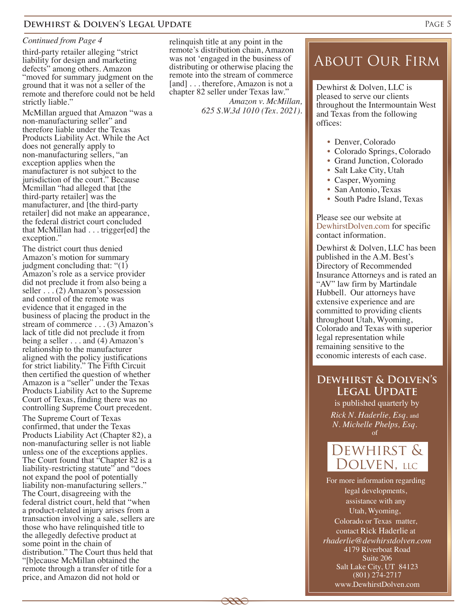### **DEWHIRST & DOLVEN'S LEGAL UPDATE** PAGE 5

#### *Continued from Page 4*

third-party retailer alleging "strict liability for design and marketing defects" among others. Amazon "moved for summary judgment on the ground that it was not a seller of the remote and therefore could not be held strictly liable."

McMillan argued that Amazon "was a non-manufacturing seller" and therefore liable under the Texas Products Liability Act. While the Act does not generally apply to non-manufacturing sellers, "an exception applies when the manufacturer is not subject to the jurisdiction of the court." Because Mcmillan "had alleged that [the third-party retailer] was the manufacturer, and [the third-party retailer] did not make an appearance, the federal district court concluded that McMillan had . . . trigger[ed] the exception."

The district court thus denied Amazon's motion for summary judgment concluding that: "(1) Amazon's role as a service provider did not preclude it from also being a seller  $\dots$  (2) Amazon's possession and control of the remote was evidence that it engaged in the business of placing the product in the stream of commerce . . . (3) Amazon's lack of title did not preclude it from being a seller . . . and (4) Amazon's relationship to the manufacturer aligned with the policy justifications for strict liability." The Fifth Circuit then certified the question of whether Amazon is a "seller" under the Texas Products Liability Act to the Supreme Court of Texas, finding there was no controlling Supreme Court precedent.

The Supreme Court of Texas confirmed, that under the Texas Products Liability Act (Chapter 82), a non-manufacturing seller is not liable unless one of the exceptions applies. The Court found that "Chapter 82 is a liability-restricting statute" and "does" not expand the pool of potentially liability non-manufacturing sellers." The Court, disagreeing with the federal district court, held that "when a product-related injury arises from a transaction involving a sale, sellers are those who have relinquished title to the allegedly defective product at some point in the chain of distribution." The Court thus held that "[b]ecause McMillan obtained the remote through a transfer of title for a price, and Amazon did not hold or

relinquish title at any point in the remote's distribution chain, Amazon was not 'engaged in the business of distributing or otherwise placing the remote into the stream of commerce [and] . . . therefore, Amazon is not a chapter 82 seller under Texas law."

 $\overline{\phantom{a}}$ 

*Amazon v. McMillan, 625 S.W.3d 1010 (Tex. 2021).*

## About Our Firm

Dewhirst & Dolven, LLC is pleased to serve our clients throughout the Intermountain West and Texas from the following offices:

- Denver, Colorado
- Colorado Springs, Colorado
- Grand Junction, Colorado
- Salt Lake City, Utah
- Casper, Wyoming
- San Antonio, Texas
- South Padre Island, Texas

Please see our website at DewhirstDolven.com for specific contact information.

Dewhirst & Dolven, LLC has been published in the A.M. Best's Directory of Recommended Insurance Attorneys and is rated an "AV" law firm by Martindale Hubbell. Our attorneys have extensive experience and are committed to providing clients throughout Utah, Wyoming, Colorado and Texas with superior legal representation while remaining sensitive to the economic interests of each case.

### **Dewhirst & Dolven's Legal Update**

is published quarterly by *Rick N. Haderlie, Esq.* and *N. Michelle Phelps, Esq.* of



*rhaderlie@dewhirstdolven.com* 4179 Riverboat Road Suite 206 Salt Lake City, UT 84123 (801) 274-2717 www.DewhirstDolven.com For more information regarding legal developments, assistance with any Utah, Wyoming, Colorado or Texas matter, contact Rick Haderlie at